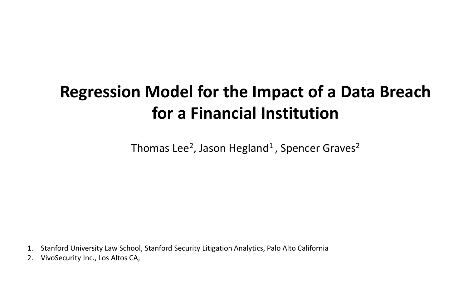### **Regression Model for the Impact of a Data Breach for a Financial Institution**

Thomas Lee<sup>2</sup>, Jason Hegland<sup>1</sup>, Spencer Graves<sup>2</sup>

1. Stanford University Law School, Stanford Security Litigation Analytics, Palo Alto California

2. VivoSecurity Inc., Los Altos CA,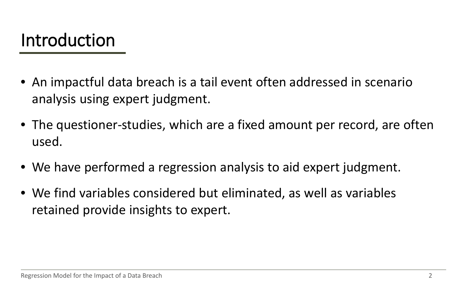### Introduction

- An impactful data breach is a tail event often addressed in scenario analysis using expert judgment.
- The questioner-studies, which are a fixed amount per record, are often used.
- We have performed a regression analysis to aid expert judgment.
- We find variables considered but eliminated, as well as variables retained provide insights to expert.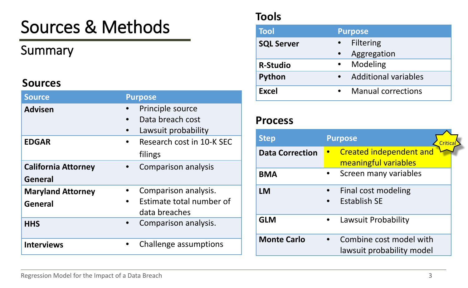# Sources & Methods

### Summary

#### **Sources**

| <b>Source</b>              | <b>Purpose</b>            |
|----------------------------|---------------------------|
| <b>Advisen</b>             | Principle source          |
|                            | Data breach cost          |
|                            | Lawsuit probability       |
| <b>EDGAR</b>               | Research cost in 10-K SEC |
|                            | filings                   |
| <b>California Attorney</b> | Comparison analysis       |
| General                    |                           |
| <b>Maryland Attorney</b>   | Comparison analysis.      |
| <b>General</b>             | Estimate total number of  |
|                            | data breaches             |
| <b>HHS</b>                 | Comparison analysis.      |
| <b>Interviews</b>          | Challenge assumptions     |

#### **Tools**

| <b>Tool</b>       | <b>Purpose</b>              |
|-------------------|-----------------------------|
| <b>SQL Server</b> | <b>Filtering</b>            |
|                   | Aggregation                 |
| <b>R-Studio</b>   | Modeling                    |
| Python            | <b>Additional variables</b> |
| <b>Excel</b>      | <b>Manual corrections</b>   |

#### **Process**

| <b>Step</b>            | <b>Purpose</b><br>Critica                              |
|------------------------|--------------------------------------------------------|
| <b>Data Correction</b> | <b>Created independent and</b><br>meaningful variables |
| <b>BMA</b>             | Screen many variables                                  |
| <b>LM</b>              | Final cost modeling<br><b>Establish SE</b>             |
| <b>GLM</b>             | Lawsuit Probability                                    |
| <b>Monte Carlo</b>     | Combine cost model with<br>lawsuit probability model   |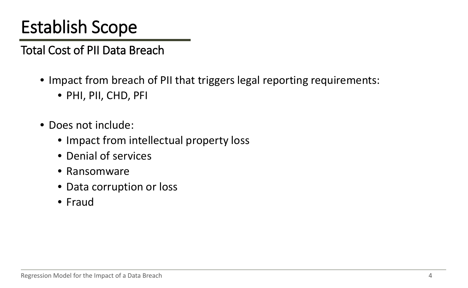## Establish Scope

Total Cost of PII Data Breach

- Impact from breach of PII that triggers legal reporting requirements:
	- PHI, PII, CHD, PFI
- Does not include:
	- Impact from intellectual property loss
	- Denial of services
	- Ransomware
	- Data corruption or loss
	- Fraud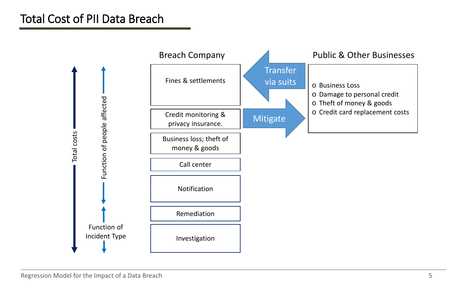### Total Cost of PII Data Breach

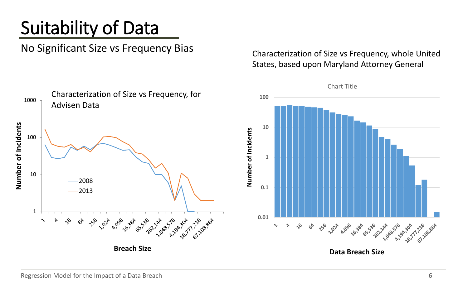# Suitability of Data

No Significant Size vs Frequency Bias

Characterization of Size vs Frequency, whole United States, based upon Maryland Attorney General

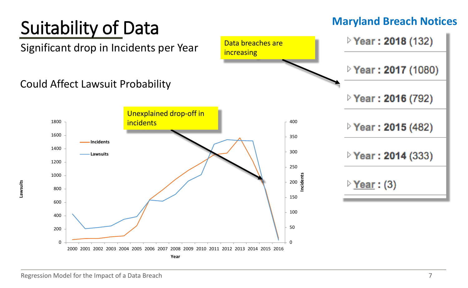#### **Maryland Breach Notices**Suitability of Data ▷ Year: 2018 (132) Data breaches are Significant drop in Incidents per Year increasing ▷ Year: 2017 (1080) Could Affect Lawsuit Probability ▷ Year: 2016 (792) Unexplained drop-off in 1800 **incidents** 400 ▷ Year: 2015 (482) 1600 350 **Incidents** 1400 300 **P** Year: 2014 (333) **Lawsuits** 1200 250 1000 ncidents **Incidents** 200 ▷ <u>Year</u> : (3) **Lawsuits** 800 150 600 100 400 50 200  $\Omega$  $\Omega$ 2000 2001 2002 2003 2004 2005 2006 2007 2008 2009 2010 2011 2012 2013 2014 2015 2016 **Year**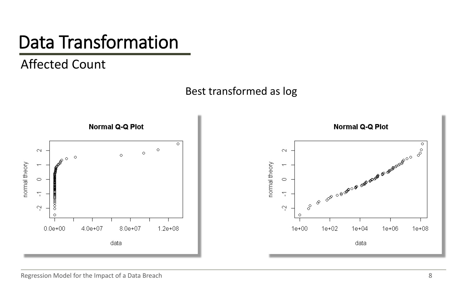# Data Transformation

### Affected Count



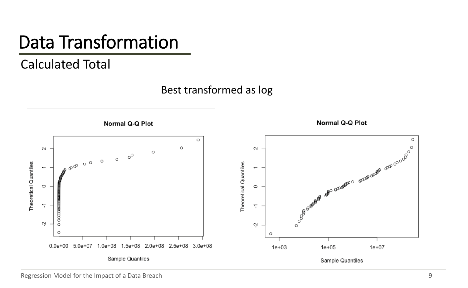# Data Transformation

#### Calculated Total

Best transformed as log

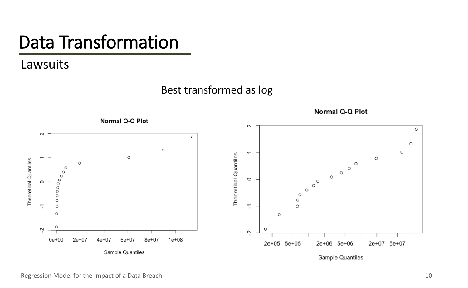# Data Transformation

Lawsuits

#### Best transformed as log

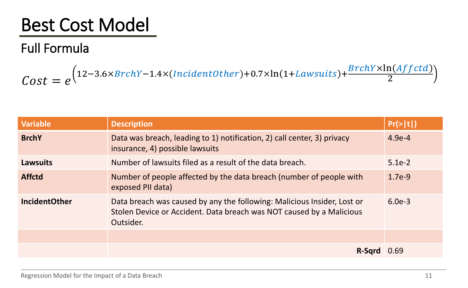# Best Cost Model

### Full Formula

 $Cost = e$ 12−3.6×BrchY−1.4×(IncidentOther)+0.7×ln(1+Lawsuits)+ $\frac{BrchY\times In(Aff)}{2}$ 2

| <b>Variable</b>      | <b>Description</b>                                                                                                                                           | $Pr(>\vert t \vert)$ |
|----------------------|--------------------------------------------------------------------------------------------------------------------------------------------------------------|----------------------|
| <b>BrchY</b>         | Data was breach, leading to 1) notification, 2) call center, 3) privacy<br>insurance, 4) possible lawsuits                                                   | $4.9e-4$             |
| <b>Lawsuits</b>      | Number of lawsuits filed as a result of the data breach.<br>$5.1e-2$                                                                                         |                      |
| <b>Affctd</b>        | Number of people affected by the data breach (number of people with<br>$1.7e-9$<br>exposed PII data)                                                         |                      |
| <b>IncidentOther</b> | Data breach was caused by any the following: Malicious Insider, Lost or<br>Stolen Device or Accident. Data breach was NOT caused by a Malicious<br>Outsider. | $6.0e-3$             |
|                      |                                                                                                                                                              |                      |
|                      | R-Sqrd                                                                                                                                                       | 0.69                 |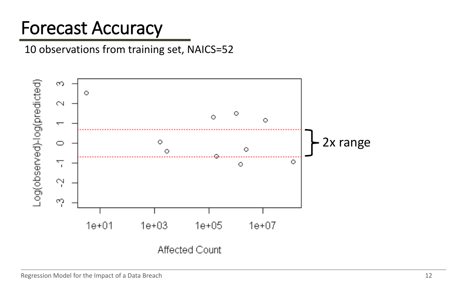## Forecast Accuracy

#### 10 observations from training set, NAICS=52

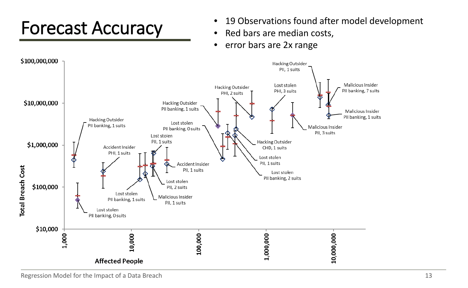# Forecast Accuracy

- 19 Observations found after model development
- Red bars are median costs,
- error bars are 2x range

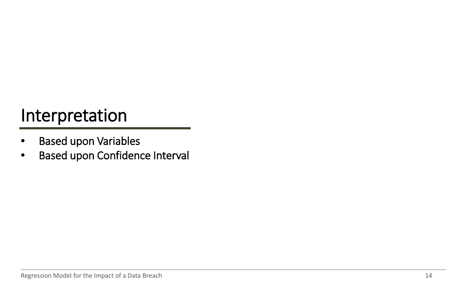- Based upon Variables
- Based upon Confidence Interval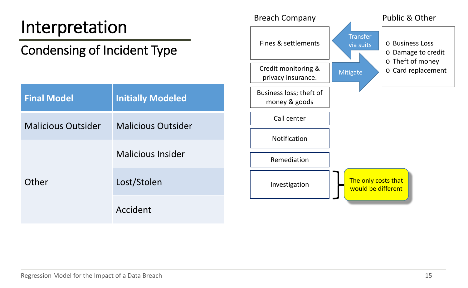#### Condensing of Incident Type Interpretation **Final Model Initially Modeled** Malicious Outsider Malicious Outsider **Other** Malicious Insider Lost/Stolen Accident Investigation Notification Call center Remediation o Business Loss o Damage to credit o Theft of money o Card replacement Business loss; theft of money & goods Credit monitoring & privacy insurance. Fines & settlements Breach Company Public & Other **Mitigate Transfer** via suits The only costs that would be different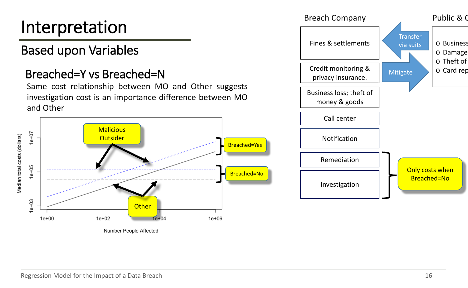### Based upon Variables

#### Breached=Y vs Breached=N

Same cost relationship between MO and Other suggests investigation cost is an importance difference between MO and Other



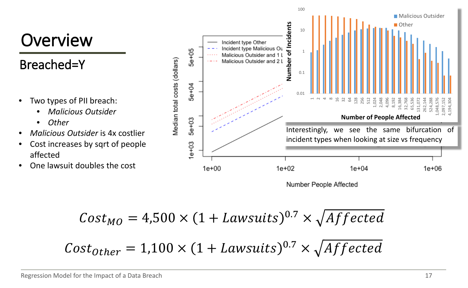### **Overview**

### Breached=Y

- Two types of PII breach:
	- *Malicious Outsider*
	- *Other*
- *Malicious Outsider* is 4x costlier
- Cost increases by sqrt of people affected
- One lawsuit doubles the cost



100

Number People Affected

$$
Cost_{MO} = 4,500 \times (1 + Lawsuits)^{0.7} \times \sqrt{Affected}
$$

 $Cost_{other} = 1,100 \times (1 + Lawsuits)^{0.7} \times \sqrt{Affected}$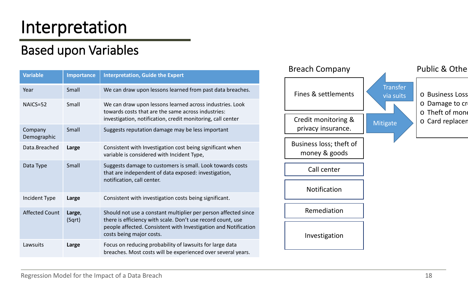### Based upon Variables

| <b>Variable</b>        | Importance       | <b>Interpretation, Guide the Expert</b>                                                                                                                                                                                      |
|------------------------|------------------|------------------------------------------------------------------------------------------------------------------------------------------------------------------------------------------------------------------------------|
| Year                   | Small            | We can draw upon lessons learned from past data breaches.                                                                                                                                                                    |
| NAICS=52               | Small            | We can draw upon lessons learned across industries. Look<br>towards costs that are the same across industries:<br>investigation, notification, credit monitoring, call center                                                |
| Company<br>Demographic | Small            | Suggests reputation damage may be less important                                                                                                                                                                             |
| Data.Breached          | Large            | Consistent with Investigation cost being significant when<br>variable is considered with Incident Type,                                                                                                                      |
| Data Type              | Small            | Suggests damage to customers is small. Look towards costs<br>that are independent of data exposed: investigation,<br>notification, call center.                                                                              |
| Incident Type          | Large            | Consistent with investigation costs being significant.                                                                                                                                                                       |
| <b>Affected Count</b>  | Large,<br>(Sqrt) | Should not use a constant multiplier per person affected since<br>there is efficiency with scale. Don't use record count, use<br>people affected. Consistent with Investigation and Notification<br>costs being major costs. |
| Lawsuits               | Large            | Focus on reducing probability of lawsuits for large data<br>breaches. Most costs will be experienced over several years.                                                                                                     |

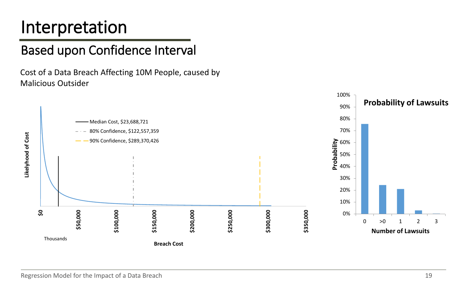### Based upon Confidence Interval

Cost of a Data Breach Affecting 10M People, caused by Malicious Outsider

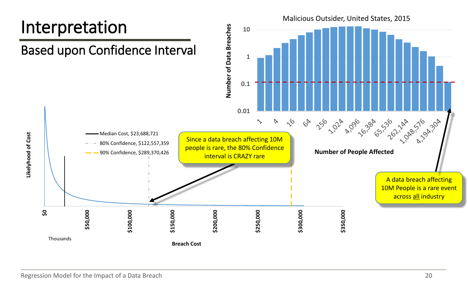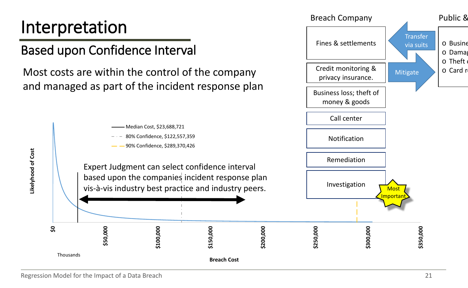### Based upon Confidence Interval

Most costs are within the control of the company and managed as part of the incident response plan



o Busine o Damag  $\circ$  Theft o Card re

Business loss; theft of

Credit monitoring & privacy insurance.

Fines & settlements

Breach Company **Public 8** 

Mitigate

**Transfer** via suits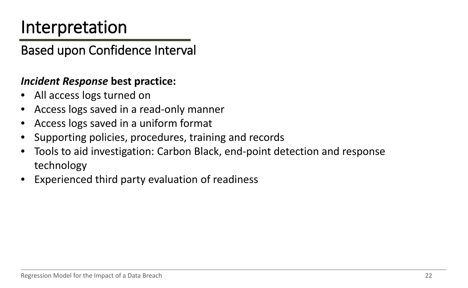Based upon Confidence Interval

#### *Incident Response* **best practice:**

- All access logs turned on
- Access logs saved in a read-only manner
- Access logs saved in a uniform format
- Supporting policies, procedures, training and records
- Tools to aid investigation: Carbon Black, end-point detection and response technology
- Experienced third party evaluation of readiness